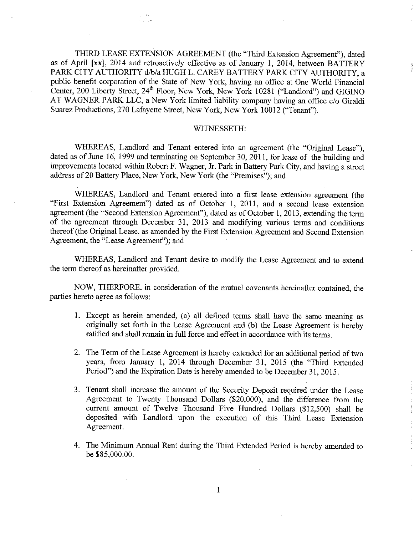THIRD LEASE EXTENSION AGREEMENT (the "Third Extension Agreement"), dated as of April [xx], 2014 and retroactively effective as of January 1, 2014, between BATTERY PARK CITY AUTHORITy d/b/a HUGH L. CAREY BATTERY PARK CITY AUTHORITY, a public benefit corporation of the State of New York, having an office at One World Financial Center, 200 Liberty Street, 24<sup>th</sup> Floor, New York, New York 10281 ("Landlord") and GIGINO AT WAGNER PARK LLC, a New York limited liability company having an office c/o Giraldi Suarez Productions, 270 Lafayette Street, New York, New York 10012 ("Tenant").

## WITNESSETH:

WHEREAS, Landlord and Tenant entered into an agreement (the "Original Lease"), dated as of June 16, 1999 and terminating on September 30, 2011, for lease of the building and improvements located within Robert F. Wagner, Jr. Park in Battery Park City, and having a street address of 20 Battery Place, New York, New York (the "Premises"); and

WHEREAS, Landlord and Tenant entered into a first lease extension agreement (the "First Extension Agreement") dated as of October 1, 2011, and a second lease extension agreement (the "Second Extension Agreement"), dated as of October 1,2013, extending the term of the agreement through December 31, 2013 and modifying various terms and conditions thereof (the Original Lease, as amended by the First Extension Agreement and Second Extension Agreement, the "Lease Agreement"); and

WHEREAS, Landlord and Tenant desire to modify the Lease Agreement and to extend the term thereof as hereinafter provided.

NOW, THERFORE, in consideration of the mutual covenants hereinafter contained, the parties hereto agree as follows:

- 1. Except as herein amended, (a) all defined terms shall have the same meaning as originally set forth in the Lease Agreement and (b) the Lease Agreement is hereby ratified and shall remain in full force and effect in accordance with its terms.
- 2. The Term of the Lease Agreement is hereby extended for an additional period of two years, from January 1, 2014 through December 31, 2015 (the "Third Extended Period") and the Expiration Date is hereby amended to be December 31, 2015.
- Tenant shall increase the amount of the Security Deposit required under the Lease Agreement to Twenty Thousand Dollars (\$20,000), and the difference from the current amount of Twelve Thousand Five Hundred Dollars (\$12,500) shall be deposited with Landlord upon the execution of this Third Lease Extension Agreement.
- The Minimmn Annual Rent during the Third Extended Period is hereby amended to be \$85,000.00.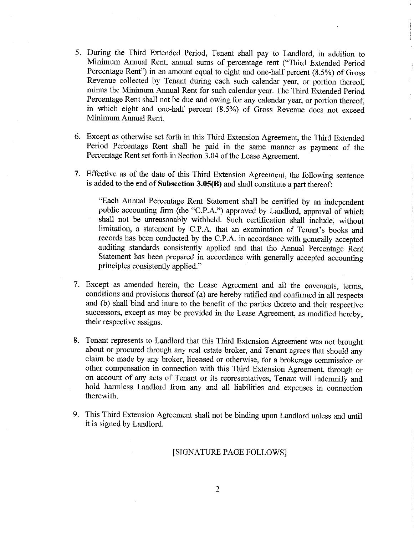- 5. During the Third Extended Period, Tenant shall pay to Landlord, in addition to Minimum Manual Rent, annual sums of percentage rent ("Third Extended Period Percentage Rent") in an amount equal to eight and one-half percent (8.5%) of Gross Revenue collected by Tenant during each such calendar year, or portion thereof, minus the Minimum Annual Rent for such calendar year. The Third Extended Period Percentage Rent shall not be due and owing for any calendar year, or portion thereof, in which eight and one-half percent (8.5%) of Gross Revenue does not exceed Minimum Annual Rent.
- 6. Except as otherwise set forth in this Third Extension Agreement, the Third Extended Period Percentage Rent shall be paid in the same manner as payment of the Percentage Rent set forth in Section 3.04 of the Lease Agreement.
- 7. Effective as of the date of this Third Extension Agreement, the following sentence is added to the end of Subsection  $3.05(B)$  and shall constitute a part thereof:

"Each Annual Percentage Rent Statement shall be certified by an independent public accounting firm (the "C.P.A.") approved by Landlord, approval of which shall not be unreasonably withheld. Such certification shall include; without limitation, a statement by C.P.A. that an examination of Tenant's books and records has been conducted by the C.P.A. in accordance with generally accepted auditing standards consistently applied and that the Annual Percentage Rent Statement has been prepared in accordance with generally accepted accounting principles consistently applied."

- 7. Except as amended herein, the Lease Agreement and all the covenants, terms, conditions and provisions thereof (a) are hereby ratified and confirmed in all respects mad (b) shall bind and inure to the benefit of the parties thereto and their respective successors, except as may be provided in the Lease Agreement, as modified hereby, their respective assigns.
- Tenant represents to Landlord that this Third Extension Agreement was not brought about or procured through any real estate broker, and Tenant agrees that should any claim be made by may broker, licensed or otherwise, for a brokerage commission or other compensation in connection with this Third Extension Agreement, through or on account of any acts of Tenant or its representatives, Tenant will indemnify and hold harmless Landlord from any mad all liabilities and expenses in connection therewith.
- 9. This Third Extension Agreement shall not be binding upon Landlord unless and until it is signed by Landlord.

## [SIGNATURE PAGE FOLLOWS]